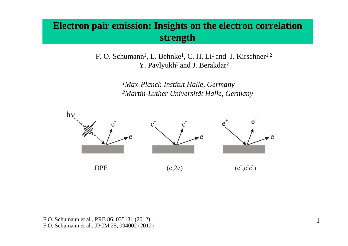# **Electron pair emission: Insights on the electron correlation strength**

F. O. Schumann<sup>1</sup>, L. Behnke<sup>1</sup>, C. H. Li<sup>1</sup> and J. Kirschner<sup>1,2</sup> Y. Pavlyukh<sup>2</sup> and J. Berakdar<sup>2</sup>

> *1Max-Planck-Institut Halle, Germany2Martin-Luther Universität Halle, Germany*

> > 1



F.O. Schumann et al., PRB 86, 035131 (2012)F.O. Schumann et al., JPCM 25, 094002 (2012)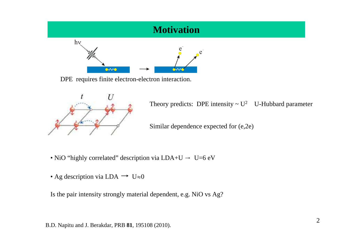

DPE requires finite electron-electron interaction.



Theory predicts: DPE intensity  $\sim U^2$  U-Hubbard parameter

Similar dependence expected for (e,2e)

- NiO "highly correlated" description via  $LDA+U \rightarrow U=6$  eV
- Ag description via LDA  $\rightarrow$  U $\approx$ 0

Is the pair intensity strongly material dependent, e.g. NiO vs Ag?

B.D. Napitu and J. Berakdar, PRB **81**, 195108 (2010).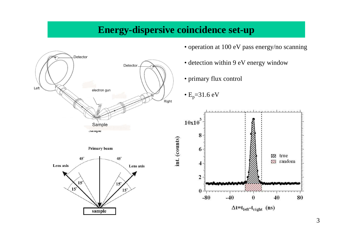## **Energy-dispersive coincidence set-up**

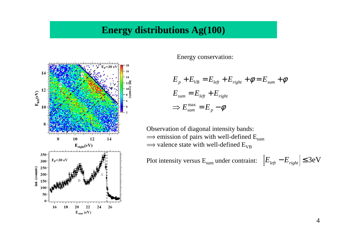#### **Energy distributions Ag(100)**



Energy conservation:

$$
E_p + E_{VB} = E_{left} + E_{right} + \phi = E_{sum} + \phi
$$
  

$$
E_{sum} = E_{left} + E_{right}
$$
  

$$
\Rightarrow E_{sum}^{\max} = E_p - \phi
$$

Observation of diagonal intensity bands: $\Rightarrow$  emission of pairs with well-defined  $\Rightarrow$  emission of pairs with well-defined  $E_{sum}$ <br> $\Rightarrow$  valence state with well-defined  $E_{VB}$ 

Plot intensity versus  $E_{sum}$  under contraint:  $E_{\text{left}}$ − $E_{\text{right}}$ |≤3eV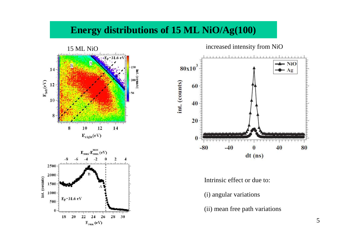# **Energy distributions of 15 ML NiO/Ag(100)**





Intrinsic effect or due to:

- (i) angular variations
- (ii) mean free path variations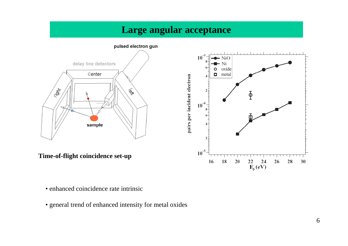## **Large angular acceptance**



- enhanced coincidence rate intrinsic
- general trend of enhanced intensity for metal oxides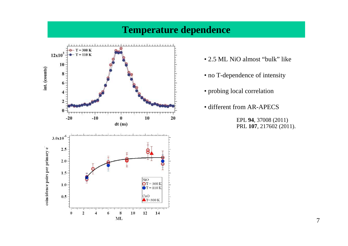## **Temperature dependence**



- 2.5 ML NiO almost "bulk" like
- no T-dependence of intensity
- probing local correlation
- different from AR-APECS

EPL **94**, 37008 (2011)PRL **107**, 217602 (2011).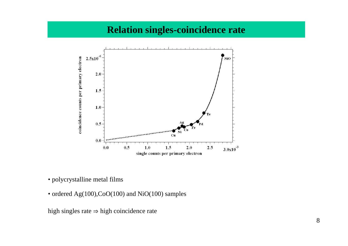## **Relation singles-coincidence rate**



- polycrystalline metal films
- ordered Ag(100),CoO(100) and NiO(100) samples

high singles rate  $\Rightarrow$  high coincidence rate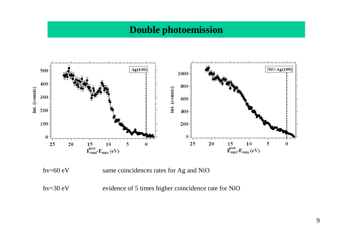#### **Double photoemission**



hv=60 eV same coincidences rates for Ag and NiO

hv=30 eV evidence of 5 times higher coincidence rate for NiO